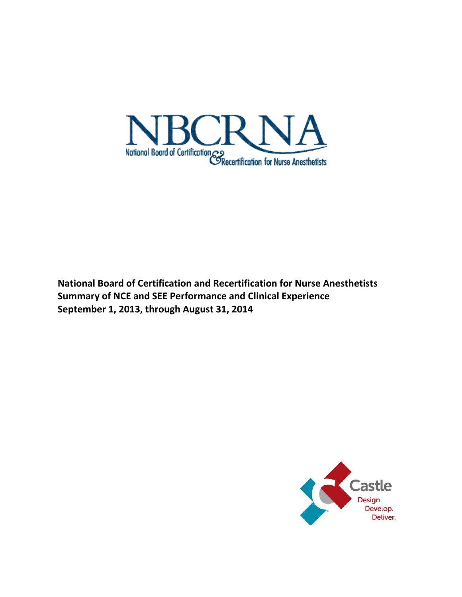

**National Board of Certification and Recertification for Nurse Anesthetists Summary of NCE and SEE Performance and Clinical Experience September 1, 2013, through August 31, 2014**

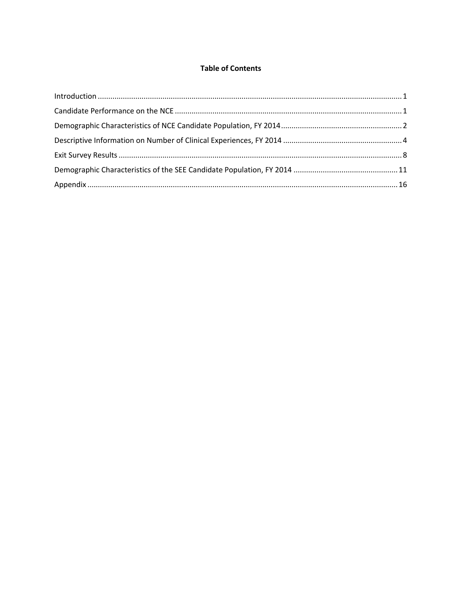# **Table of Contents**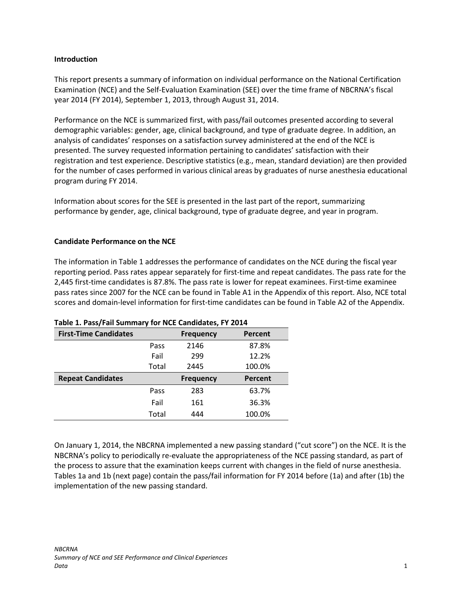#### <span id="page-2-0"></span>**Introduction**

This report presents a summary of information on individual performance on the National Certification Examination (NCE) and the Self-Evaluation Examination (SEE) over the time frame of NBCRNA's fiscal year 2014 (FY 2014), September 1, 2013, through August 31, 2014.

Performance on the NCE is summarized first, with pass/fail outcomes presented according to several demographic variables: gender, age, clinical background, and type of graduate degree. In addition, an analysis of candidates' responses on a satisfaction survey administered at the end of the NCE is presented. The survey requested information pertaining to candidates' satisfaction with their registration and test experience. Descriptive statistics (e.g., mean, standard deviation) are then provided for the number of cases performed in various clinical areas by graduates of nurse anesthesia educational program during FY 2014.

Information about scores for the SEE is presented in the last part of the report, summarizing performance by gender, age, clinical background, type of graduate degree, and year in program.

#### <span id="page-2-1"></span>**Candidate Performance on the NCE**

The information in Table 1 addresses the performance of candidates on the NCE during the fiscal year reporting period. Pass rates appear separately for first-time and repeat candidates. The pass rate for the 2,445 first-time candidates is 87.8%. The pass rate is lower for repeat examinees. First-time examinee pass rates since 2007 for the NCE can be found in Table A1 in the Appendix of this report. Also, NCE total scores and domain-level information for first-time candidates can be found in Table A2 of the Appendix.

| <b>First-Time Candidates</b> |       | <b>Frequency</b> | Percent |
|------------------------------|-------|------------------|---------|
|                              | Pass  | 2146             | 87.8%   |
|                              | Fail  | 299              | 12.2%   |
|                              | Total | 2445             | 100.0%  |
|                              |       |                  |         |
| <b>Repeat Candidates</b>     |       | <b>Frequency</b> | Percent |
|                              | Pass  | 283              | 63.7%   |
|                              | Fail  | 161              | 36.3%   |

#### **Table 1. Pass/Fail Summary for NCE Candidates, FY 2014**

On January 1, 2014, the NBCRNA implemented a new passing standard ("cut score") on the NCE. It is the NBCRNA's policy to periodically re-evaluate the appropriateness of the NCE passing standard, as part of the process to assure that the examination keeps current with changes in the field of nurse anesthesia. Tables 1a and 1b (next page) contain the pass/fail information for FY 2014 before (1a) and after (1b) the implementation of the new passing standard.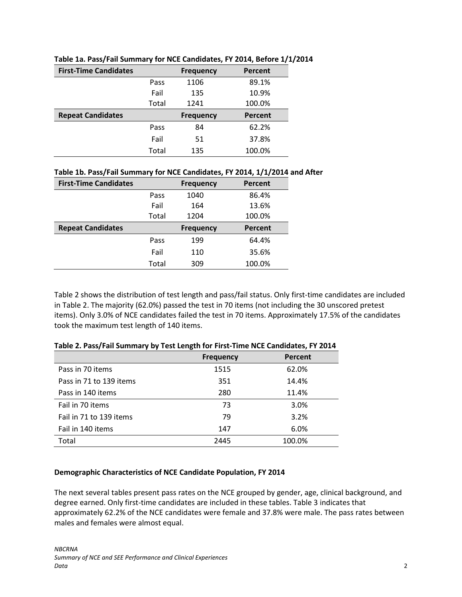| <b>First-Time Candidates</b> |       | <b>Frequency</b> | Percent |
|------------------------------|-------|------------------|---------|
|                              | Pass  | 1106             | 89.1%   |
|                              | Fail  | 135              | 10.9%   |
|                              | Total | 1241             | 100.0%  |
|                              |       |                  |         |
| <b>Repeat Candidates</b>     |       | <b>Frequency</b> | Percent |
|                              | Pass  | 84               | 62.2%   |
|                              | Fail  | 51               | 37.8%   |

#### **Table 1a. Pass/Fail Summary for NCE Candidates, FY 2014, Before 1/1/2014**

# **Table 1b. Pass/Fail Summary for NCE Candidates, FY 2014, 1/1/2014 and After**

| <b>First-Time Candidates</b> |       | <b>Frequency</b> | Percent |
|------------------------------|-------|------------------|---------|
|                              | Pass  | 1040             | 86.4%   |
|                              | Fail  | 164              | 13.6%   |
|                              | Total | 1204             | 100.0%  |
| <b>Repeat Candidates</b>     |       | <b>Frequency</b> | Percent |
|                              | Pass  | 199              | 64.4%   |
|                              | Fail  | 110              | 35.6%   |
|                              |       |                  |         |

Table 2 shows the distribution of test length and pass/fail status. Only first-time candidates are included in Table 2. The majority (62.0%) passed the test in 70 items (not including the 30 unscored pretest items). Only 3.0% of NCE candidates failed the test in 70 items. Approximately 17.5% of the candidates took the maximum test length of 140 items.

|                         | <b>Frequency</b> | Percent |
|-------------------------|------------------|---------|
| Pass in 70 items        | 1515             | 62.0%   |
| Pass in 71 to 139 items | 351              | 14.4%   |
| Pass in 140 items       | 280              | 11.4%   |
| Fail in 70 items        | 73               | 3.0%    |
| Fail in 71 to 139 items | 79               | 3.2%    |
| Fail in 140 items       | 147              | 6.0%    |
| Total                   | 2445             | 100.0%  |

#### **Table 2. Pass/Fail Summary by Test Length for First-Time NCE Candidates, FY 2014**

#### <span id="page-3-0"></span>**Demographic Characteristics of NCE Candidate Population, FY 2014**

The next several tables present pass rates on the NCE grouped by gender, age, clinical background, and degree earned. Only first-time candidates are included in these tables. Table 3 indicates that approximately 62.2% of the NCE candidates were female and 37.8% were male. The pass rates between males and females were almost equal.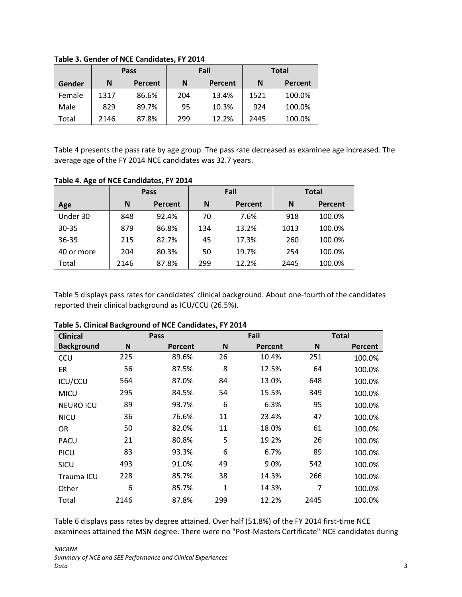|        |      | Pass           |     | Fail           |      | <b>Total</b> |
|--------|------|----------------|-----|----------------|------|--------------|
| Gender | N    | <b>Percent</b> | N   | <b>Percent</b> | N    | Percent      |
| Female | 1317 | 86.6%          | 204 | 13.4%          | 1521 | 100.0%       |
| Male   | 829  | 89.7%          | 95  | 10.3%          | 924  | 100.0%       |
| Total  | 2146 | 87.8%          | 299 | 12.2%          | 2445 | 100.0%       |

**Table 3. Gender of NCE Candidates, FY 2014**

Table 4 presents the pass rate by age group. The pass rate decreased as examinee age increased. The average age of the FY 2014 NCE candidates was 32.7 years.

|            | Pass |         |     | Fail    | <b>Total</b> |         |  |
|------------|------|---------|-----|---------|--------------|---------|--|
| Age        | N    | Percent | N   | Percent | N            | Percent |  |
| Under 30   | 848  | 92.4%   | 70  | 7.6%    | 918          | 100.0%  |  |
| $30 - 35$  | 879  | 86.8%   | 134 | 13.2%   | 1013         | 100.0%  |  |
| 36-39      | 215  | 82.7%   | 45  | 17.3%   | 260          | 100.0%  |  |
| 40 or more | 204  | 80.3%   | 50  | 19.7%   | 254          | 100.0%  |  |
| Total      | 2146 | 87.8%   | 299 | 12.2%   | 2445         | 100.0%  |  |

## **Table 4. Age of NCE Candidates, FY 2014**

Table 5 displays pass rates for candidates' clinical background. About one-fourth of the candidates reported their clinical background as ICU/CCU (26.5%).

| <b>Clinical</b>   |      | Pass           |     | Fail    |      | <b>Total</b>   |
|-------------------|------|----------------|-----|---------|------|----------------|
| <b>Background</b> | N    | <b>Percent</b> | N   | Percent | N    | <b>Percent</b> |
| CCU               | 225  | 89.6%          | 26  | 10.4%   | 251  | 100.0%         |
| ER                | 56   | 87.5%          | 8   | 12.5%   | 64   | 100.0%         |
| ICU/CCU           | 564  | 87.0%          | 84  | 13.0%   | 648  | 100.0%         |
| <b>MICU</b>       | 295  | 84.5%          | 54  | 15.5%   | 349  | 100.0%         |
| <b>NEURO ICU</b>  | 89   | 93.7%          | 6   | 6.3%    | 95   | 100.0%         |
| <b>NICU</b>       | 36   | 76.6%          | 11  | 23.4%   | 47   | 100.0%         |
| <b>OR</b>         | 50   | 82.0%          | 11  | 18.0%   | 61   | 100.0%         |
| PACU              | 21   | 80.8%          | 5   | 19.2%   | 26   | 100.0%         |
| <b>PICU</b>       | 83   | 93.3%          | 6   | 6.7%    | 89   | 100.0%         |
| SICU              | 493  | 91.0%          | 49  | 9.0%    | 542  | 100.0%         |
| Trauma ICU        | 228  | 85.7%          | 38  | 14.3%   | 266  | 100.0%         |
| Other             | 6    | 85.7%          | 1   | 14.3%   | 7    | 100.0%         |
| Total             | 2146 | 87.8%          | 299 | 12.2%   | 2445 | 100.0%         |

#### **Table 5. Clinical Background of NCE Candidates, FY 2014**

Table 6 displays pass rates by degree attained. Over half (51.8%) of the FY 2014 first-time NCE examinees attained the MSN degree. There were no "Post-Masters Certificate" NCE candidates during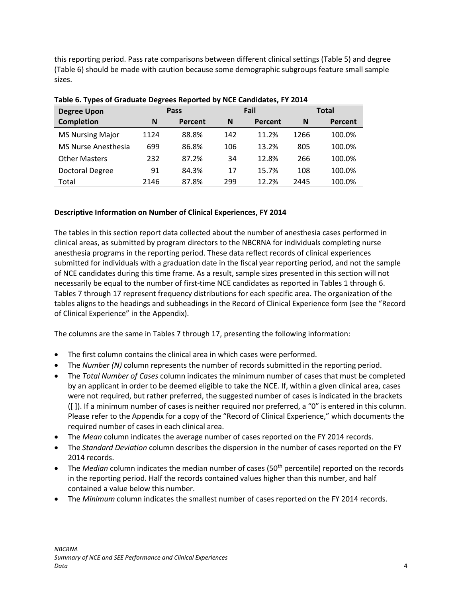this reporting period. Pass rate comparisons between different clinical settings (Table 5) and degree (Table 6) should be made with caution because some demographic subgroups feature small sample sizes.

| <b>Degree Upon</b>      | Pass |         |     | Fail    | <b>Total</b> |         |
|-------------------------|------|---------|-----|---------|--------------|---------|
| <b>Completion</b>       | N    | Percent | N   | Percent | N            | Percent |
| <b>MS Nursing Major</b> | 1124 | 88.8%   | 142 | 11.2%   | 1266         | 100.0%  |
| MS Nurse Anesthesia     | 699  | 86.8%   | 106 | 13.2%   | 805          | 100.0%  |
| <b>Other Masters</b>    | 232  | 87.2%   | 34  | 12.8%   | 266          | 100.0%  |
| <b>Doctoral Degree</b>  | 91   | 84.3%   | 17  | 15.7%   | 108          | 100.0%  |
| Total                   | 2146 | 87.8%   | 299 | 12.2%   | 2445         | 100.0%  |

| Table 6. Types of Graduate Degrees Reported by NCE Candidates, FY 2014 |
|------------------------------------------------------------------------|
|------------------------------------------------------------------------|

#### <span id="page-5-0"></span>**Descriptive Information on Number of Clinical Experiences, FY 2014**

The tables in this section report data collected about the number of anesthesia cases performed in clinical areas, as submitted by program directors to the NBCRNA for individuals completing nurse anesthesia programs in the reporting period. These data reflect records of clinical experiences submitted for individuals with a graduation date in the fiscal year reporting period, and not the sample of NCE candidates during this time frame. As a result, sample sizes presented in this section will not necessarily be equal to the number of first-time NCE candidates as reported in Tables 1 through 6. Tables 7 through 17 represent frequency distributions for each specific area. The organization of the tables aligns to the headings and subheadings in the Record of Clinical Experience form (see the "Record of Clinical Experience" in the Appendix).

The columns are the same in Tables 7 through 17, presenting the following information:

- The first column contains the clinical area in which cases were performed.
- The *Number (N)* column represents the number of records submitted in the reporting period.
- The *Total Number of Cases* column indicates the minimum number of cases that must be completed by an applicant in order to be deemed eligible to take the NCE. If, within a given clinical area, cases were not required, but rather preferred, the suggested number of cases is indicated in the brackets ([ ]). If a minimum number of cases is neither required nor preferred, a "0" is entered in this column. Please refer to the Appendix for a copy of the "Record of Clinical Experience," which documents the required number of cases in each clinical area.
- The *Mean* column indicates the average number of cases reported on the FY 2014 records.
- The *Standard Deviation* column describes the dispersion in the number of cases reported on the FY 2014 records.
- The *Median* column indicates the median number of cases (50<sup>th</sup> percentile) reported on the records in the reporting period. Half the records contained values higher than this number, and half contained a value below this number.
- The *Minimum* column indicates the smallest number of cases reported on the FY 2014 records.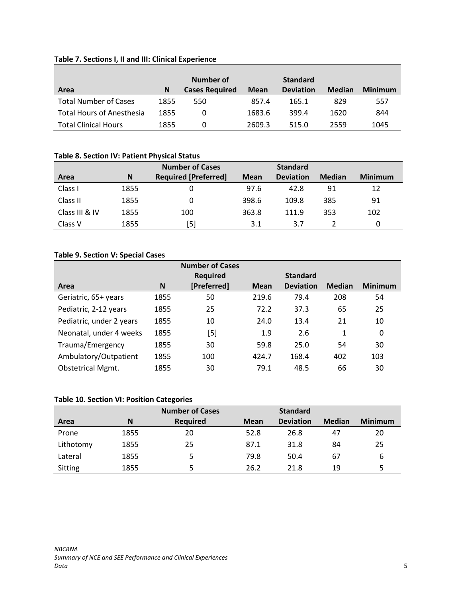# **Table 7. Sections I, II and III: Clinical Experience**

|                                  |      | Number of             |             | <b>Standard</b>  |               |                |
|----------------------------------|------|-----------------------|-------------|------------------|---------------|----------------|
| Area                             | N    | <b>Cases Required</b> | <b>Mean</b> | <b>Deviation</b> | <b>Median</b> | <b>Minimum</b> |
| <b>Total Number of Cases</b>     | 1855 | 550                   | 857.4       | 165.1            | 829           | 557            |
| <b>Total Hours of Anesthesia</b> | 1855 | 0                     | 1683.6      | 399.4            | 1620          | 844            |
| <b>Total Clinical Hours</b>      | 1855 | 0                     | 2609.3      | 515.0            | 2559          | 1045           |

#### **Table 8. Section IV: Patient Physical Status**

|                |      | <b>Number of Cases</b>      |             | <b>Standard</b>  |               |                |
|----------------|------|-----------------------------|-------------|------------------|---------------|----------------|
| Area           | N    | <b>Required [Preferred]</b> | <b>Mean</b> | <b>Deviation</b> | <b>Median</b> | <b>Minimum</b> |
| Class I        | 1855 |                             | 97.6        | 42.8             | 91            | 12             |
| Class II       | 1855 |                             | 398.6       | 109.8            | 385           | 91             |
| Class III & IV | 1855 | 100                         | 363.8       | 111.9            | 353           | 102            |
| Class V        | 1855 | [5]                         | 3.1         | 3.7              |               |                |

#### **Table 9. Section V: Special Cases**

|                          |      | <b>Number of Cases</b> |             |                  |               |                |
|--------------------------|------|------------------------|-------------|------------------|---------------|----------------|
|                          |      | <b>Required</b>        |             | <b>Standard</b>  |               |                |
| Area                     | N    | [Preferred]            | <b>Mean</b> | <b>Deviation</b> | <b>Median</b> | <b>Minimum</b> |
| Geriatric, 65+ years     | 1855 | 50                     | 219.6       | 79.4             | 208           | 54             |
| Pediatric, 2-12 years    | 1855 | 25                     | 72.2        | 37.3             | 65            | 25             |
| Pediatric, under 2 years | 1855 | 10                     | 24.0        | 13.4             | 21            | 10             |
| Neonatal, under 4 weeks  | 1855 | [5]                    | 1.9         | 2.6              | $\mathbf{1}$  | 0              |
| Trauma/Emergency         | 1855 | 30                     | 59.8        | 25.0             | 54            | 30             |
| Ambulatory/Outpatient    | 1855 | 100                    | 424.7       | 168.4            | 402           | 103            |
| <b>Obstetrical Mgmt.</b> | 1855 | 30                     | 79.1        | 48.5             | 66            | 30             |

# **Table 10. Section VI: Position Categories**

|                |      | <b>Number of Cases</b> |             | <b>Standard</b>  |               |                |
|----------------|------|------------------------|-------------|------------------|---------------|----------------|
| Area           | N    | <b>Required</b>        | <b>Mean</b> | <b>Deviation</b> | <b>Median</b> | <b>Minimum</b> |
| Prone          | 1855 | 20                     | 52.8        | 26.8             | 47            | 20             |
| Lithotomy      | 1855 | 25                     | 87.1        | 31.8             | 84            | 25             |
| Lateral        | 1855 | 5                      | 79.8        | 50.4             | 67            | 6              |
| <b>Sitting</b> | 1855 | 5                      | 26.2        | 21.8             | 19            |                |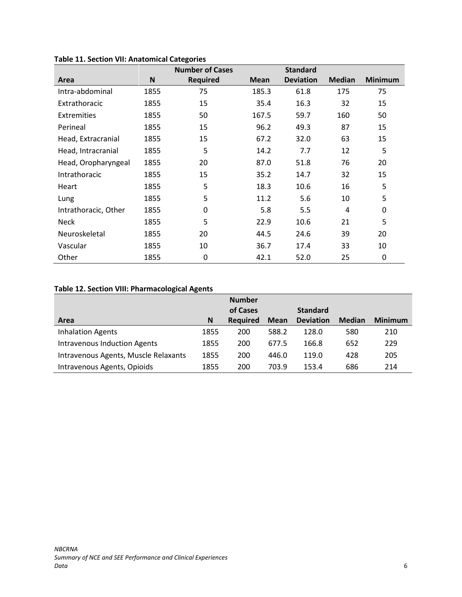|                      |      | <b>Number of Cases</b> |             | <b>Standard</b>  |               |                |
|----------------------|------|------------------------|-------------|------------------|---------------|----------------|
| Area                 | N    | <b>Required</b>        | <b>Mean</b> | <b>Deviation</b> | <b>Median</b> | <b>Minimum</b> |
| Intra-abdominal      | 1855 | 75                     | 185.3       | 61.8             | 175           | 75             |
| Extrathoracic        | 1855 | 15                     | 35.4        | 16.3             | 32            | 15             |
| Extremities          | 1855 | 50                     | 167.5       | 59.7             | 160           | 50             |
| Perineal             | 1855 | 15                     | 96.2        | 49.3             | 87            | 15             |
| Head, Extracranial   | 1855 | 15                     | 67.2        | 32.0             | 63            | 15             |
| Head, Intracranial   | 1855 | 5                      | 14.2        | 7.7              | 12            | 5              |
| Head, Oropharyngeal  | 1855 | 20                     | 87.0        | 51.8             | 76            | 20             |
| Intrathoracic        | 1855 | 15                     | 35.2        | 14.7             | 32            | 15             |
| Heart                | 1855 | 5                      | 18.3        | 10.6             | 16            | 5              |
| Lung                 | 1855 | 5                      | 11.2        | 5.6              | 10            | 5              |
| Intrathoracic, Other | 1855 | 0                      | 5.8         | 5.5              | 4             | 0              |
| <b>Neck</b>          | 1855 | 5                      | 22.9        | 10.6             | 21            | 5              |
| Neuroskeletal        | 1855 | 20                     | 44.5        | 24.6             | 39            | 20             |
| Vascular             | 1855 | 10                     | 36.7        | 17.4             | 33            | 10             |
| Other                | 1855 | 0                      | 42.1        | 52.0             | 25            | 0              |

#### **Table 11. Section VII: Anatomical Categories**

# **Table 12. Section VIII: Pharmacological Agents**

|                                      |      | <b>Number</b>   |             |                  |               |                |
|--------------------------------------|------|-----------------|-------------|------------------|---------------|----------------|
|                                      |      | of Cases        |             | <b>Standard</b>  |               |                |
| Area                                 | N    | <b>Required</b> | <b>Mean</b> | <b>Deviation</b> | <b>Median</b> | <b>Minimum</b> |
| <b>Inhalation Agents</b>             | 1855 | 200             | 588.2       | 128.0            | 580           | 210            |
| <b>Intravenous Induction Agents</b>  | 1855 | 200             | 677.5       | 166.8            | 652           | 229            |
| Intravenous Agents, Muscle Relaxants | 1855 | 200             | 446.0       | 119.0            | 428           | 205            |
| Intravenous Agents, Opioids          | 1855 | 200             | 703.9       | 153.4            | 686           | 214            |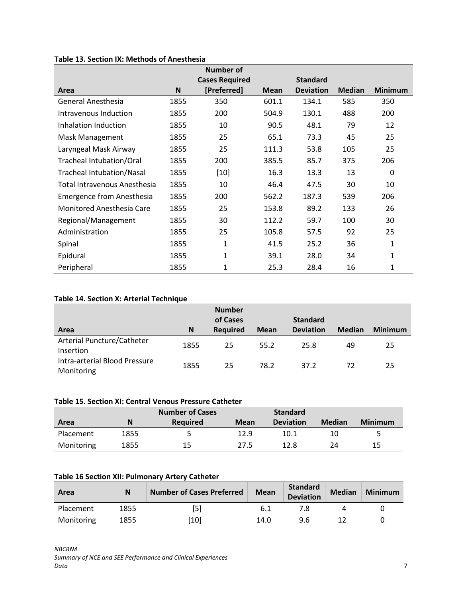|                                  |      | <b>Number of</b>      |             |                  |               |                |
|----------------------------------|------|-----------------------|-------------|------------------|---------------|----------------|
|                                  |      | <b>Cases Required</b> |             | <b>Standard</b>  |               |                |
| Area                             | N    | [Preferred]           | <b>Mean</b> | <b>Deviation</b> | <b>Median</b> | <b>Minimum</b> |
| General Anesthesia               | 1855 | 350                   | 601.1       | 134.1            | 585           | 350            |
| Intravenous Induction            | 1855 | 200                   | 504.9       | 130.1            | 488           | 200            |
| Inhalation Induction             | 1855 | 10                    | 90.5        | 48.1             | 79            | 12             |
| Mask Management                  | 1855 | 25                    | 65.1        | 73.3             | 45            | 25             |
| Laryngeal Mask Airway            | 1855 | 25                    | 111.3       | 53.8             | 105           | 25             |
| Tracheal Intubation/Oral         | 1855 | 200                   | 385.5       | 85.7             | 375           | 206            |
| <b>Tracheal Intubation/Nasal</b> | 1855 | $[10]$                | 16.3        | 13.3             | 13            | $\Omega$       |
| Total Intravenous Anesthesia     | 1855 | 10                    | 46.4        | 47.5             | 30            | 10             |
| Emergence from Anesthesia        | 1855 | 200                   | 562.2       | 187.3            | 539           | 206            |
| Monitored Anesthesia Care        | 1855 | 25                    | 153.8       | 89.2             | 133           | 26             |
| Regional/Management              | 1855 | 30                    | 112.2       | 59.7             | 100           | 30             |
| Administration                   | 1855 | 25                    | 105.8       | 57.5             | 92            | 25             |
| Spinal                           | 1855 | 1                     | 41.5        | 25.2             | 36            | 1              |
| Epidural                         | 1855 | $\mathbf{1}$          | 39.1        | 28.0             | 34            | $\mathbf{1}$   |
| Peripheral                       | 1855 | 1                     | 25.3        | 28.4             | 16            | 1              |

# **Table 13. Section IX: Methods of Anesthesia**

#### **Table 14. Section X: Arterial Technique**

| Area                                        | N    | <b>Number</b><br>of Cases<br><b>Required</b> | <b>Mean</b> | <b>Standard</b><br><b>Deviation</b> | <b>Median</b> | <b>Minimum</b> |
|---------------------------------------------|------|----------------------------------------------|-------------|-------------------------------------|---------------|----------------|
| Arterial Puncture/Catheter<br>Insertion     | 1855 | 25                                           | 55.2        | 25.8                                | 49            | 25             |
| Intra-arterial Blood Pressure<br>Monitoring | 1855 | 25                                           | 78.2        | 37.2                                | 72            | 25             |

#### **Table 15. Section XI: Central Venous Pressure Catheter**

|            |      | <b>Number of Cases</b> |      | <b>Standard</b>  |               |                |
|------------|------|------------------------|------|------------------|---------------|----------------|
| Area       | Ν    | Reauired               | Mean | <b>Deviation</b> | <b>Median</b> | <b>Minimum</b> |
| Placement  | 1855 |                        | 12.9 | 10.1             | 10            | 5.             |
| Monitoring | 1855 | 15                     | 27.5 | 12.8             | 24            | 15             |

## **Table 16 Section XII: Pulmonary Artery Catheter**

| Area       |      | <b>Number of Cases Preferred</b> | <b>Mean</b> | Standard<br><b>Deviation</b> | <b>Median</b> | <b>Minimum</b> |
|------------|------|----------------------------------|-------------|------------------------------|---------------|----------------|
| Placement  | 1855 | [5]                              |             |                              |               |                |
| Monitoring | 1855 | 10 <sup>1</sup>                  | 14.0        | 9.6                          |               |                |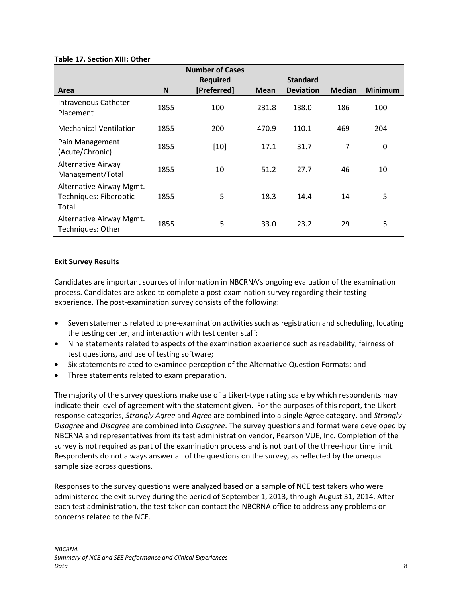|  |  |  | <b>Table 17. Section XIII: Other</b> |  |  |
|--|--|--|--------------------------------------|--|--|
|--|--|--|--------------------------------------|--|--|

|                                                             |      | <b>Number of Cases</b> |             |                  |                |                |
|-------------------------------------------------------------|------|------------------------|-------------|------------------|----------------|----------------|
|                                                             |      | <b>Required</b>        |             | <b>Standard</b>  |                |                |
| Area                                                        | N    | [Preferred]            | <b>Mean</b> | <b>Deviation</b> | <b>Median</b>  | <b>Minimum</b> |
| Intravenous Catheter<br>Placement                           | 1855 | 100                    | 231.8       | 138.0            | 186            | 100            |
| <b>Mechanical Ventilation</b>                               | 1855 | 200                    | 470.9       | 110.1            | 469            | 204            |
| Pain Management<br>(Acute/Chronic)                          | 1855 | $[10]$                 | 17.1        | 31.7             | $\overline{7}$ | 0              |
| Alternative Airway<br>Management/Total                      | 1855 | 10                     | 51.2        | 27.7             | 46             | 10             |
| Alternative Airway Mgmt.<br>Techniques: Fiberoptic<br>Total | 1855 | 5                      | 18.3        | 14.4             | 14             | 5              |
| Alternative Airway Mgmt.<br><b>Techniques: Other</b>        | 1855 | 5                      | 33.0        | 23.2             | 29             | 5              |

#### <span id="page-9-0"></span>**Exit Survey Results**

Candidates are important sources of information in NBCRNA's ongoing evaluation of the examination process. Candidates are asked to complete a post-examination survey regarding their testing experience. The post-examination survey consists of the following:

- Seven statements related to pre-examination activities such as registration and scheduling, locating the testing center, and interaction with test center staff;
- Nine statements related to aspects of the examination experience such as readability, fairness of test questions, and use of testing software;
- Six statements related to examinee perception of the Alternative Question Formats; and
- Three statements related to exam preparation.

The majority of the survey questions make use of a Likert-type rating scale by which respondents may indicate their level of agreement with the statement given. For the purposes of this report, the Likert response categories, *Strongly Agree* and *Agree* are combined into a single Agree category, and *Strongly Disagree* and *Disagree* are combined into *Disagree*. The survey questions and format were developed by NBCRNA and representatives from its test administration vendor, Pearson VUE, Inc. Completion of the survey is not required as part of the examination process and is not part of the three-hour time limit. Respondents do not always answer all of the questions on the survey, as reflected by the unequal sample size across questions.

Responses to the survey questions were analyzed based on a sample of NCE test takers who were administered the exit survey during the period of September 1, 2013, through August 31, 2014. After each test administration, the test taker can contact the NBCRNA office to address any problems or concerns related to the NCE.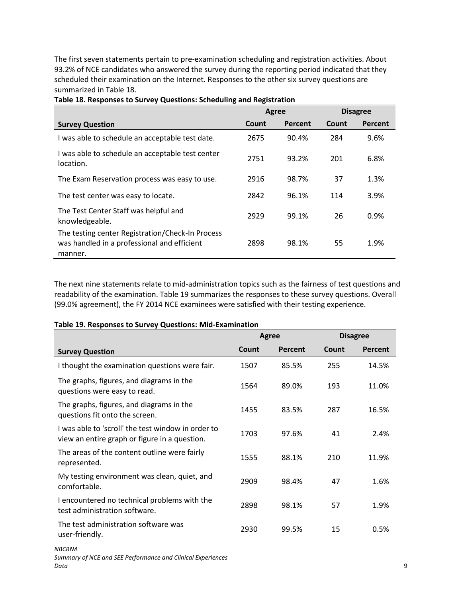The first seven statements pertain to pre-examination scheduling and registration activities. About 93.2% of NCE candidates who answered the survey during the reporting period indicated that they scheduled their examination on the Internet. Responses to the other six survey questions are summarized in Table 18.

|                                                                                                            | Agree |         | <b>Disagree</b> |         |  |
|------------------------------------------------------------------------------------------------------------|-------|---------|-----------------|---------|--|
| <b>Survey Question</b>                                                                                     | Count | Percent | Count           | Percent |  |
| I was able to schedule an acceptable test date.                                                            | 2675  | 90.4%   | 284             | 9.6%    |  |
| I was able to schedule an acceptable test center<br>location.                                              | 2751  | 93.2%   | 201             | 6.8%    |  |
| The Exam Reservation process was easy to use.                                                              | 2916  | 98.7%   | 37              | 1.3%    |  |
| The test center was easy to locate.                                                                        | 2842  | 96.1%   | 114             | 3.9%    |  |
| The Test Center Staff was helpful and<br>knowledgeable.                                                    | 2929  | 99.1%   | 26              | 0.9%    |  |
| The testing center Registration/Check-In Process<br>was handled in a professional and efficient<br>manner. | 2898  | 98.1%   | 55              | 1.9%    |  |

**Table 18. Responses to Survey Questions: Scheduling and Registration**

The next nine statements relate to mid-administration topics such as the fairness of test questions and readability of the examination. Table 19 summarizes the responses to these survey questions. Overall (99.0% agreement), the FY 2014 NCE examinees were satisfied with their testing experience.

# *NBCRNA* **Survey Question Agree Disagree Count Percent Count Percent** I thought the examination questions were fair.  $1507$  85.5% 255 14.5% The graphs, figures, and diagrams in the questions were easy to read.<br>
duestions were easy to read. The graphs, figures, and diagrams in the questions fit onto the screen.<br>
approximately discussed to the screen.<br>  $1455$  83.5% 287 16.5% I was able to 'scroll' the test window in order to view an entire graph or figure in a question.<br>
1703 97.6% 41 2.4% The areas of the content outline were fairly represented. The content oddine were ranny to the season of the content of the content of the content of the s<br>represented. My testing environment was clean, quiet, and omfortable. 2909 98.4% 47 1.6% I encountered no technical problems with the test administration software. 2898 98.1% 57 1.9% The test administration software was ne test dammiscration sortware was  $2930$  99.5% 15 0.5%

#### **Table 19. Responses to Survey Questions: Mid-Examination**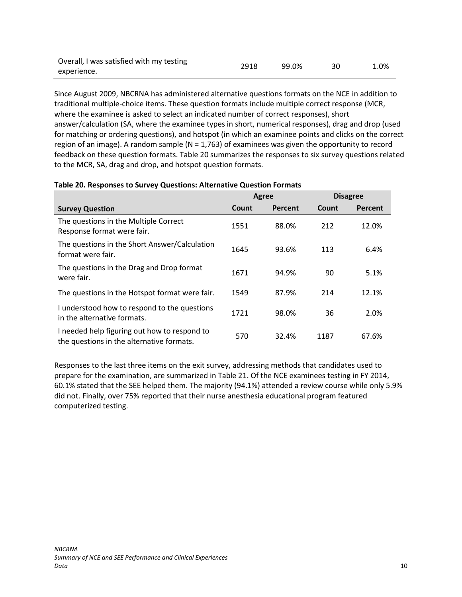| Overall, I was satisfied with my testing | 2918 | 99.0% | 1.0% |
|------------------------------------------|------|-------|------|
| experience.                              |      |       |      |

Since August 2009, NBCRNA has administered alternative questions formats on the NCE in addition to traditional multiple-choice items. These question formats include multiple correct response (MCR, where the examinee is asked to select an indicated number of correct responses), short answer/calculation (SA, where the examinee types in short, numerical responses), drag and drop (used for matching or ordering questions), and hotspot (in which an examinee points and clicks on the correct region of an image). A random sample ( $N = 1,763$ ) of examinees was given the opportunity to record feedback on these question formats. Table 20 summarizes the responses to six survey questions related to the MCR, SA, drag and drop, and hotspot question formats.

|                                                                                           |       | Agree   |       | <b>Disagree</b> |
|-------------------------------------------------------------------------------------------|-------|---------|-------|-----------------|
| <b>Survey Question</b>                                                                    | Count | Percent | Count | <b>Percent</b>  |
| The questions in the Multiple Correct<br>Response format were fair.                       | 1551  | 88.0%   | 212   | 12.0%           |
| The questions in the Short Answer/Calculation<br>format were fair.                        | 1645  | 93.6%   | 113   | 6.4%            |
| The questions in the Drag and Drop format<br>were fair.                                   | 1671  | 94.9%   | 90    | 5.1%            |
| The questions in the Hotspot format were fair.                                            | 1549  | 87.9%   | 214   | 12.1%           |
| I understood how to respond to the questions<br>in the alternative formats.               | 1721  | 98.0%   | 36    | 2.0%            |
| I needed help figuring out how to respond to<br>the questions in the alternative formats. | 570   | 32.4%   | 1187  | 67.6%           |

#### **Table 20. Responses to Survey Questions: Alternative Question Formats**

Responses to the last three items on the exit survey, addressing methods that candidates used to prepare for the examination, are summarized in Table 21. Of the NCE examinees testing in FY 2014, 60.1% stated that the SEE helped them. The majority (94.1%) attended a review course while only 5.9% did not. Finally, over 75% reported that their nurse anesthesia educational program featured computerized testing.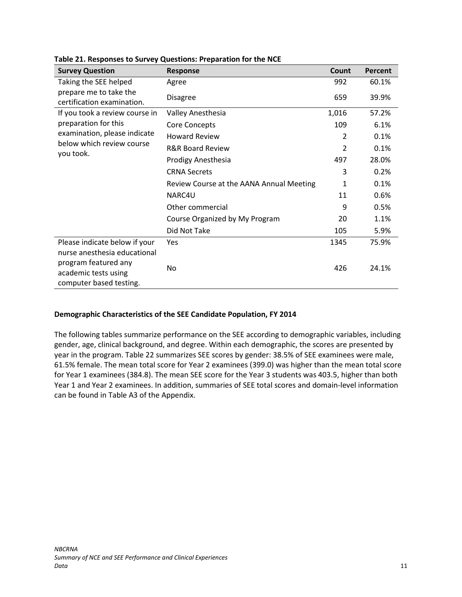| <b>Survey Question</b>                                                                                  | <b>Response</b>                          | Count | Percent |
|---------------------------------------------------------------------------------------------------------|------------------------------------------|-------|---------|
| Taking the SEE helped                                                                                   | Agree                                    | 992   | 60.1%   |
| prepare me to take the<br>certification examination.                                                    | <b>Disagree</b>                          | 659   | 39.9%   |
| If you took a review course in                                                                          | Valley Anesthesia                        | 1,016 | 57.2%   |
| preparation for this                                                                                    | Core Concepts                            | 109   | 6.1%    |
| examination, please indicate                                                                            | <b>Howard Review</b>                     | 2     | 0.1%    |
| below which review course                                                                               | <b>R&amp;R Board Review</b>              | 2     | 0.1%    |
| you took.                                                                                               | Prodigy Anesthesia                       | 497   | 28.0%   |
|                                                                                                         | <b>CRNA Secrets</b>                      | 3     | 0.2%    |
|                                                                                                         | Review Course at the AANA Annual Meeting | 1     | 0.1%    |
|                                                                                                         | NARC4U                                   | 11    | 0.6%    |
|                                                                                                         | Other commercial                         | 9     | 0.5%    |
|                                                                                                         | Course Organized by My Program           | 20    | 1.1%    |
|                                                                                                         | Did Not Take                             | 105   | 5.9%    |
| Please indicate below if your                                                                           | Yes                                      | 1345  | 75.9%   |
| nurse anesthesia educational<br>program featured any<br>academic tests using<br>computer based testing. | No                                       | 426   | 24.1%   |

#### **Table 21. Responses to Survey Questions: Preparation for the NCE**

#### <span id="page-12-0"></span>**Demographic Characteristics of the SEE Candidate Population, FY 2014**

The following tables summarize performance on the SEE according to demographic variables, including gender, age, clinical background, and degree. Within each demographic, the scores are presented by year in the program. Table 22 summarizes SEE scores by gender: 38.5% of SEE examinees were male, 61.5% female. The mean total score for Year 2 examinees (399.0) was higher than the mean total score for Year 1 examinees (384.8). The mean SEE score for the Year 3 students was 403.5, higher than both Year 1 and Year 2 examinees. In addition, summaries of SEE total scores and domain-level information can be found in Table A3 of the Appendix.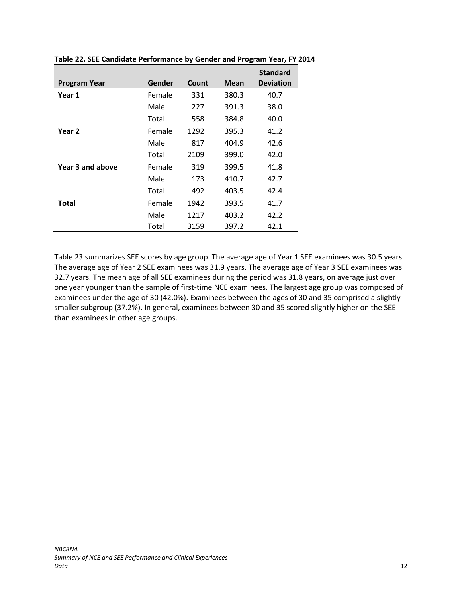|                     |        |       |       | <b>Standard</b>  |
|---------------------|--------|-------|-------|------------------|
| <b>Program Year</b> | Gender | Count | Mean  | <b>Deviation</b> |
| Year 1              | Female | 331   | 380.3 | 40.7             |
|                     | Male   | 227   | 391.3 | 38.0             |
|                     | Total  | 558   | 384.8 | 40.0             |
| Year 2              | Female | 1292  | 395.3 | 41.2             |
|                     | Male   | 817   | 404.9 | 42.6             |
|                     | Total  | 2109  | 399.0 | 42.0             |
| Year 3 and above    | Female | 319   | 399.5 | 41.8             |
|                     | Male   | 173   | 410.7 | 42.7             |
|                     | Total  | 492   | 403.5 | 42.4             |
| <b>Total</b>        | Female | 1942  | 393.5 | 41.7             |
|                     | Male   | 1217  | 403.2 | 42.2             |
|                     | Total  | 3159  | 397.2 | 42.1             |

**Table 22. SEE Candidate Performance by Gender and Program Year, FY 2014**

Table 23 summarizes SEE scores by age group. The average age of Year 1 SEE examinees was 30.5 years. The average age of Year 2 SEE examinees was 31.9 years. The average age of Year 3 SEE examinees was 32.7 years. The mean age of all SEE examinees during the period was 31.8 years, on average just over one year younger than the sample of first-time NCE examinees. The largest age group was composed of examinees under the age of 30 (42.0%). Examinees between the ages of 30 and 35 comprised a slightly smaller subgroup (37.2%). In general, examinees between 30 and 35 scored slightly higher on the SEE than examinees in other age groups.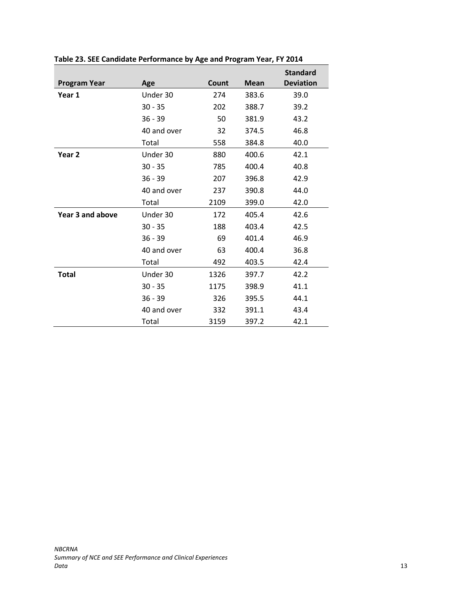|                     |             |       |             | <b>Standard</b>  |
|---------------------|-------------|-------|-------------|------------------|
| <b>Program Year</b> | Age         | Count | <b>Mean</b> | <b>Deviation</b> |
| Year 1              | Under 30    | 274   | 383.6       | 39.0             |
|                     | $30 - 35$   | 202   | 388.7       | 39.2             |
|                     | $36 - 39$   | 50    | 381.9       | 43.2             |
|                     | 40 and over | 32    | 374.5       | 46.8             |
|                     | Total       | 558   | 384.8       | 40.0             |
| Year <sub>2</sub>   | Under 30    | 880   | 400.6       | 42.1             |
|                     | $30 - 35$   | 785   | 400.4       | 40.8             |
|                     | $36 - 39$   | 207   | 396.8       | 42.9             |
|                     | 40 and over | 237   | 390.8       | 44.0             |
|                     | Total       | 2109  | 399.0       | 42.0             |
| Year 3 and above    | Under 30    | 172   | 405.4       | 42.6             |
|                     | $30 - 35$   | 188   | 403.4       | 42.5             |
|                     | $36 - 39$   | 69    | 401.4       | 46.9             |
|                     | 40 and over | 63    | 400.4       | 36.8             |
|                     | Total       | 492   | 403.5       | 42.4             |
| <b>Total</b>        | Under 30    | 1326  | 397.7       | 42.2             |
|                     | $30 - 35$   | 1175  | 398.9       | 41.1             |
|                     | $36 - 39$   | 326   | 395.5       | 44.1             |
|                     | 40 and over | 332   | 391.1       | 43.4             |
|                     | Total       | 3159  | 397.2       | 42.1             |

**Table 23. SEE Candidate Performance by Age and Program Year, FY 2014**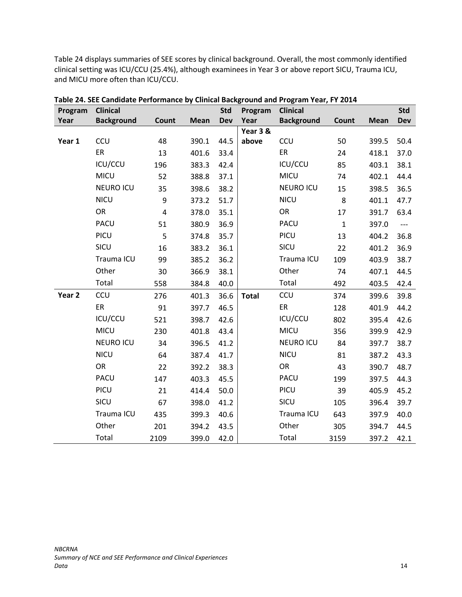Table 24 displays summaries of SEE scores by clinical background. Overall, the most commonly identified clinical setting was ICU/CCU (25.4%), although examinees in Year 3 or above report SICU, Trauma ICU, and MICU more often than ICU/CCU.

| Program           | <b>Clinical</b>   |                         |             | <b>Std</b> | Program      | <b>Clinical</b>   |              |             | <b>Std</b> |
|-------------------|-------------------|-------------------------|-------------|------------|--------------|-------------------|--------------|-------------|------------|
| Year              | <b>Background</b> | Count                   | <b>Mean</b> | <b>Dev</b> | Year         | <b>Background</b> | Count        | <b>Mean</b> | <b>Dev</b> |
|                   |                   |                         |             |            | Year 3 &     |                   |              |             |            |
| Year 1            | <b>CCU</b>        | 48                      | 390.1       | 44.5       | above        | <b>CCU</b>        | 50           | 399.5       | 50.4       |
|                   | ER                | 13                      | 401.6       | 33.4       |              | ER                | 24           | 418.1       | 37.0       |
|                   | ICU/CCU           | 196                     | 383.3       | 42.4       |              | ICU/CCU           | 85           | 403.1       | 38.1       |
|                   | <b>MICU</b>       | 52                      | 388.8       | 37.1       |              | MICU              | 74           | 402.1       | 44.4       |
|                   | <b>NEURO ICU</b>  | 35                      | 398.6       | 38.2       |              | <b>NEURO ICU</b>  | 15           | 398.5       | 36.5       |
|                   | <b>NICU</b>       | 9                       | 373.2       | 51.7       |              | <b>NICU</b>       | 8            | 401.1       | 47.7       |
|                   | OR                | $\overline{\mathbf{4}}$ | 378.0       | 35.1       |              | OR                | 17           | 391.7       | 63.4       |
|                   | PACU              | 51                      | 380.9       | 36.9       |              | PACU              | $\mathbf{1}$ | 397.0       | ---        |
|                   | PICU              | 5                       | 374.8       | 35.7       |              | PICU              | 13           | 404.2       | 36.8       |
|                   | SICU              | 16                      | 383.2       | 36.1       |              | SICU              | 22           | 401.2       | 36.9       |
|                   | Trauma ICU        | 99                      | 385.2       | 36.2       |              | Trauma ICU        | 109          | 403.9       | 38.7       |
|                   | Other             | 30                      | 366.9       | 38.1       |              | Other             | 74           | 407.1       | 44.5       |
|                   | Total             | 558                     | 384.8       | 40.0       |              | Total             | 492          | 403.5       | 42.4       |
| Year <sub>2</sub> | <b>CCU</b>        | 276                     | 401.3       | 36.6       | <b>Total</b> | CCU               | 374          | 399.6       | 39.8       |
|                   | ER                | 91                      | 397.7       | 46.5       |              | ER                | 128          | 401.9       | 44.2       |
|                   | ICU/CCU           | 521                     | 398.7       | 42.6       |              | ICU/CCU           | 802          | 395.4       | 42.6       |
|                   | <b>MICU</b>       | 230                     | 401.8       | 43.4       |              | MICU              | 356          | 399.9       | 42.9       |
|                   | <b>NEURO ICU</b>  | 34                      | 396.5       | 41.2       |              | <b>NEURO ICU</b>  | 84           | 397.7       | 38.7       |
|                   | <b>NICU</b>       | 64                      | 387.4       | 41.7       |              | <b>NICU</b>       | 81           | 387.2       | 43.3       |
|                   | OR                | 22                      | 392.2       | 38.3       |              | OR                | 43           | 390.7       | 48.7       |
|                   | PACU              | 147                     | 403.3       | 45.5       |              | PACU              | 199          | 397.5       | 44.3       |
|                   | PICU              | 21                      | 414.4       | 50.0       |              | PICU              | 39           | 405.9       | 45.2       |
|                   | SICU              | 67                      | 398.0       | 41.2       |              | SICU              | 105          | 396.4       | 39.7       |
|                   | Trauma ICU        | 435                     | 399.3       | 40.6       |              | Trauma ICU        | 643          | 397.9       | 40.0       |
|                   | Other             | 201                     | 394.2       | 43.5       |              | Other             | 305          | 394.7       | 44.5       |
|                   | Total             | 2109                    | 399.0       | 42.0       |              | Total             | 3159         | 397.2       | 42.1       |

**Table 24. SEE Candidate Performance by Clinical Background and Program Year, FY 2014**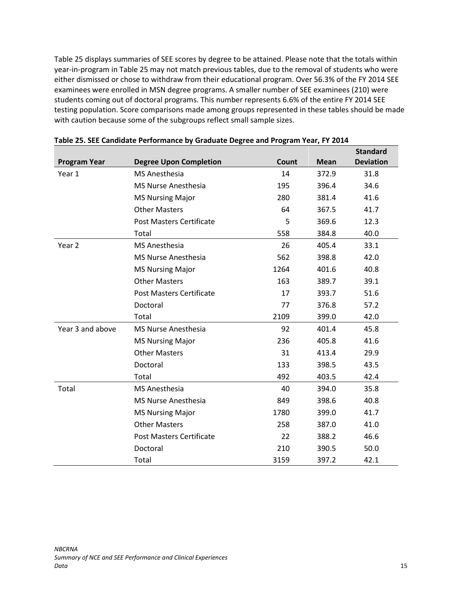Table 25 displays summaries of SEE scores by degree to be attained. Please note that the totals within year-in-program in Table 25 may not match previous tables, due to the removal of students who were either dismissed or chose to withdraw from their educational program. Over 56.3% of the FY 2014 SEE examinees were enrolled in MSN degree programs. A smaller number of SEE examinees (210) were students coming out of doctoral programs. This number represents 6.6% of the entire FY 2014 SEE testing population. Score comparisons made among groups represented in these tables should be made with caution because some of the subgroups reflect small sample sizes.

|                     |                                 |       |             | <b>Standard</b>  |
|---------------------|---------------------------------|-------|-------------|------------------|
| <b>Program Year</b> | <b>Degree Upon Completion</b>   | Count | <b>Mean</b> | <b>Deviation</b> |
| Year 1              | <b>MS Anesthesia</b>            | 14    | 372.9       | 31.8             |
|                     | <b>MS Nurse Anesthesia</b>      | 195   | 396.4       | 34.6             |
|                     | <b>MS Nursing Major</b>         | 280   | 381.4       | 41.6             |
|                     | <b>Other Masters</b>            | 64    | 367.5       | 41.7             |
|                     | <b>Post Masters Certificate</b> | 5     | 369.6       | 12.3             |
|                     | Total                           | 558   | 384.8       | 40.0             |
| Year <sub>2</sub>   | <b>MS Anesthesia</b>            | 26    | 405.4       | 33.1             |
|                     | <b>MS Nurse Anesthesia</b>      | 562   | 398.8       | 42.0             |
|                     | <b>MS Nursing Major</b>         | 1264  | 401.6       | 40.8             |
|                     | <b>Other Masters</b>            | 163   | 389.7       | 39.1             |
|                     | <b>Post Masters Certificate</b> | 17    | 393.7       | 51.6             |
|                     | Doctoral                        | 77    | 376.8       | 57.2             |
|                     | Total                           | 2109  | 399.0       | 42.0             |
| Year 3 and above    | <b>MS Nurse Anesthesia</b>      | 92    | 401.4       | 45.8             |
|                     | <b>MS Nursing Major</b>         | 236   | 405.8       | 41.6             |
|                     | <b>Other Masters</b>            | 31    | 413.4       | 29.9             |
|                     | Doctoral                        | 133   | 398.5       | 43.5             |
|                     | Total                           | 492   | 403.5       | 42.4             |
| Total               | <b>MS Anesthesia</b>            | 40    | 394.0       | 35.8             |
|                     | <b>MS Nurse Anesthesia</b>      | 849   | 398.6       | 40.8             |
|                     | <b>MS Nursing Major</b>         | 1780  | 399.0       | 41.7             |
|                     | <b>Other Masters</b>            | 258   | 387.0       | 41.0             |
|                     | <b>Post Masters Certificate</b> | 22    | 388.2       | 46.6             |
|                     | Doctoral                        | 210   | 390.5       | 50.0             |
|                     | Total                           | 3159  | 397.2       | 42.1             |

**Table 25. SEE Candidate Performance by Graduate Degree and Program Year, FY 2014**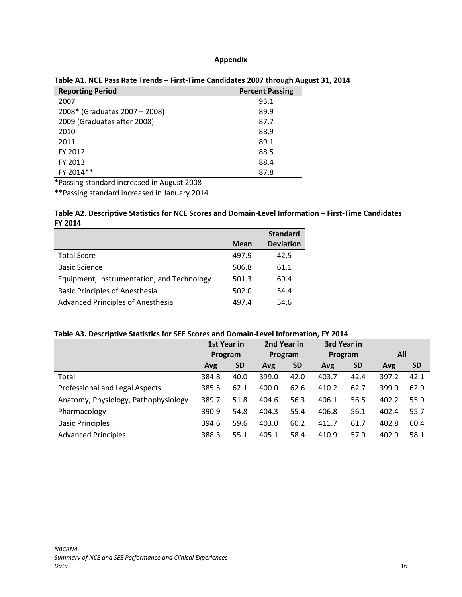#### **Appendix**

| <b>Reporting Period</b>       | <b>Percent Passing</b> |  |
|-------------------------------|------------------------|--|
| 2007                          | 93.1                   |  |
| 2008* (Graduates 2007 – 2008) | 89.9                   |  |
| 2009 (Graduates after 2008)   | 87.7                   |  |
| 2010                          | 88.9                   |  |
| 2011                          | 89.1                   |  |
| FY 2012                       | 88.5                   |  |
| FY 2013                       | 88.4                   |  |
| FY 2014**                     | 87.8                   |  |

#### <span id="page-17-0"></span>**Table A1. NCE Pass Rate Trends – First-Time Candidates 2007 through August 31, 2014**

\*Passing standard increased in August 2008

\*\*Passing standard increased in January 2014

#### **Table A2. Descriptive Statistics for NCE Scores and Domain-Level Information – First-Time Candidates FY 2014**

|                                            |             | <b>Standard</b>  |
|--------------------------------------------|-------------|------------------|
|                                            | <b>Mean</b> | <b>Deviation</b> |
| <b>Total Score</b>                         | 497.9       | 42.5             |
| <b>Basic Science</b>                       | 506.8       | 61.1             |
| Equipment, Instrumentation, and Technology | 501.3       | 69.4             |
| <b>Basic Principles of Anesthesia</b>      | 502.0       | 54.4             |
| <b>Advanced Principles of Anesthesia</b>   | 497.4       | 54.6             |

#### **Table A3. Descriptive Statistics for SEE Scores and Domain-Level Information, FY 2014**

|                                      | 1st Year in |           | 2nd Year in |           | 3rd Year in |           |       |           |
|--------------------------------------|-------------|-----------|-------------|-----------|-------------|-----------|-------|-----------|
|                                      | Program     |           | Program     |           | Program     |           | All   |           |
|                                      | Avg         | <b>SD</b> | Avg         | <b>SD</b> | Avg         | <b>SD</b> | Avg   | <b>SD</b> |
| Total                                | 384.8       | 40.0      | 399.0       | 42.0      | 403.7       | 42.4      | 397.2 | 42.1      |
| Professional and Legal Aspects       | 385.5       | 62.1      | 400.0       | 62.6      | 410.2       | 62.7      | 399.0 | 62.9      |
| Anatomy, Physiology, Pathophysiology | 389.7       | 51.8      | 404.6       | 56.3      | 406.1       | 56.5      | 402.2 | 55.9      |
| Pharmacology                         | 390.9       | 54.8      | 404.3       | 55.4      | 406.8       | 56.1      | 402.4 | 55.7      |
| <b>Basic Principles</b>              | 394.6       | 59.6      | 403.0       | 60.2      | 411.7       | 61.7      | 402.8 | 60.4      |
| <b>Advanced Principles</b>           | 388.3       | 55.1      | 405.1       | 58.4      | 410.9       | 57.9      | 402.9 | 58.1      |